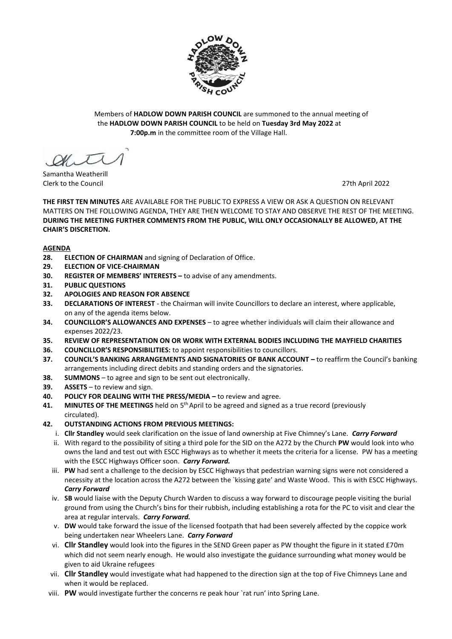

Members of **HADLOW DOWN PARISH COUNCIL** are summoned to the annual meeting of the **HADLOW DOWN PARISH COUNCIL** to be held on **Tuesday 3rd May 2022** at  **7:00p.m** in the committee room of the Village Hall.

 $\alpha$ 

Samantha Weatherill Clerk to the Council 27th April 2022

**THE FIRST TEN MINUTES** ARE AVAILABLE FOR THE PUBLIC TO EXPRESS A VIEW OR ASK A QUESTION ON RELEVANT MATTERS ON THE FOLLOWING AGENDA, THEY ARE THEN WELCOME TO STAY AND OBSERVE THE REST OF THE MEETING. **DURING THE MEETING FURTHER COMMENTS FROM THE PUBLIC, WILL ONLY OCCASIONALLY BE ALLOWED, AT THE CHAIR'S DISCRETION.**

#### **AGENDA**

- **28. ELECTION OF CHAIRMAN** and signing of Declaration of Office.
- **29. ELECTION OF VICE-CHAIRMAN**
- **30. REGISTER OF MEMBERS' INTERESTS –** to advise of any amendments.
- **31. PUBLIC QUESTIONS**
- **32. APOLOGIES AND REASON FOR ABSENCE**
- **33. DECLARATIONS OF INTEREST** the Chairman will invite Councillors to declare an interest, where applicable, on any of the agenda items below.
- **34. COUNCILLOR'S ALLOWANCES AND EXPENSES** to agree whether individuals will claim their allowance and expenses 2022/23.
- **35. REVIEW OF REPRESENTATION ON OR WORK WITH EXTERNAL BODIES INCLUDING THE MAYFIELD CHARITIES**
- **36. COUNCILLOR'S RESPONSIBILITIES:** to appoint responsibilities to councillors.
- **37. COUNCIL'S BANKING ARRANGEMENTS AND SIGNATORIES OF BANK ACCOUNT –** to reaffirm the Council's banking arrangements including direct debits and standing orders and the signatories.
- **38.** SUMMONS to agree and sign to be sent out electronically.
- **39. ASSETS** to review and sign.
- **40. POLICY FOR DEALING WITH THE PRESS/MEDIA –** to review and agree.
- 41. MINUTES OF THE MEETINGS held on 5<sup>th</sup> April to be agreed and signed as a true record (previously circulated).
- **42. OUTSTANDING ACTIONS FROM PREVIOUS MEETINGS:**
	- i. **Cllr Standley** would seek clarification on the issue of land ownership at Five Chimney's Lane. *Carry Forward*
	- ii. With regard to the possibility of siting a third pole for the SID on the A272 by the Church **PW** would look into who owns the land and test out with ESCC Highways as to whether it meets the criteria for a license. PW has a meeting with the ESCC Highways Officer soon. *Carry Forward.*
	- iii. **PW** had sent a challenge to the decision by ESCC Highways that pedestrian warning signs were not considered a necessity at the location across the A272 between the `kissing gate' and Waste Wood. This is with ESCC Highways. *Carry Forward*
	- iv. **SB** would liaise with the Deputy Church Warden to discuss a way forward to discourage people visiting the burial ground from using the Church's bins for their rubbish, including establishing a rota for the PC to visit and clear the area at regular intervals. *Carry Forward.*
	- v. **DW** would take forward the issue of the licensed footpath that had been severely affected by the coppice work being undertaken near Wheelers Lane. *Carry Forward*
	- vi. **Cllr Standley** would look into the figures in the SEND Green paper as PW thought the figure in it stated £70m which did not seem nearly enough. He would also investigate the guidance surrounding what money would be given to aid Ukraine refugees
	- vii. **Cllr Standley** would investigate what had happened to the direction sign at the top of Five Chimneys Lane and when it would be replaced.
	- viii. **PW** would investigate further the concerns re peak hour `rat run' into Spring Lane.